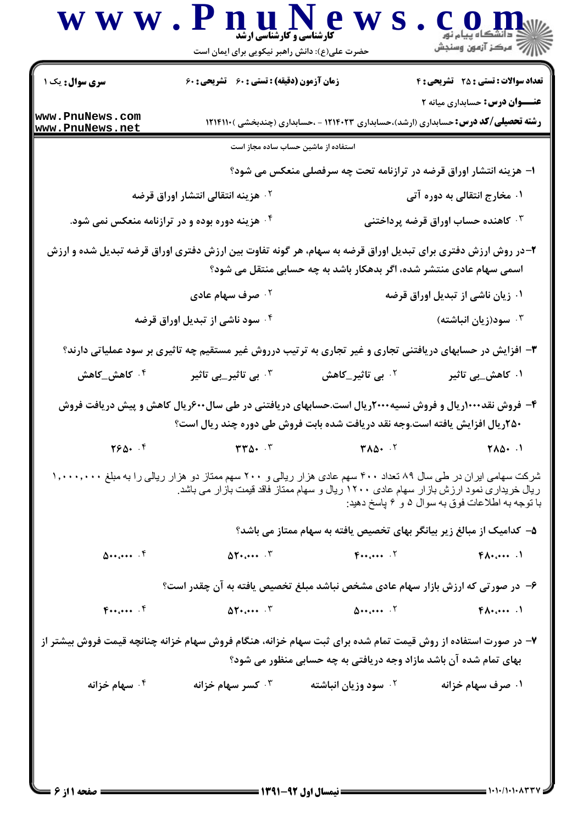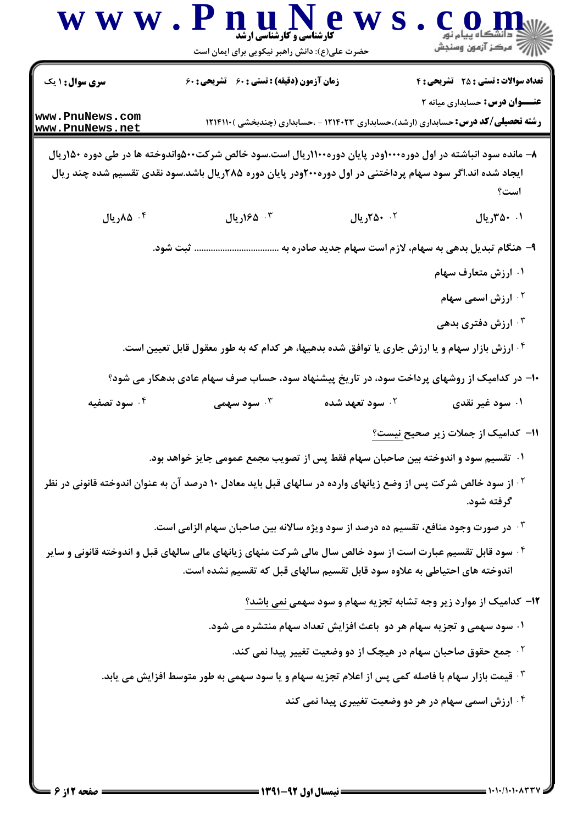|                                    | حضرت علی(ع): دانش راهبر نیکویی برای ایمان است                                                                                                                                                                              |                             | أأزأته مركز آزمون وسنجش                                                                                                            |
|------------------------------------|----------------------------------------------------------------------------------------------------------------------------------------------------------------------------------------------------------------------------|-----------------------------|------------------------------------------------------------------------------------------------------------------------------------|
| <b>سری سوال : ۱ یک</b>             | <b>زمان آزمون (دقیقه) : تستی : 60 ٪ تشریحی : 60</b>                                                                                                                                                                        |                             | <b>تعداد سوالات : تستی : 25 - تشریحی : 4</b>                                                                                       |
| www.PnuNews.com<br>www.PnuNews.net |                                                                                                                                                                                                                            |                             | <b>عنـــوان درس:</b> حسابداری میانه ۲<br><b>رشته تحصیلی/کد درس:</b> حسابداری (ارشد)،حسابداری ۱۲۱۴۰۲۳ - ،حسابداری (چندبخشی )۱۲۱۴۱۱۰ |
|                                    | ۸– مانده سود انباشته در اول دوره۱۰۰۰ودر پایان دوره۱۱۰۰ریال است.سود خالص شرکت۵۰۰واندوخته ها در طی دوره ۱۵۰ریال<br>ایجاد شده اند.اگر سود سهام پرداختنی در اول دوره۲۰۰ودر پایان دوره ۲۸۵ریال باشد.سود نقدی تقسیم شده چند ریال |                             | است؟                                                                                                                               |
| ۰۴ ۸۵ریال                          | ۰۳ ۱۶۵ ریال                                                                                                                                                                                                                | ٠. ٢٥٠ ريال                 | ۰۱ ۴۵۰ ریال                                                                                                                        |
|                                    | ثبت شود.                                                                                                                                                                                                                   |                             | ۹– هنگام تبدیل بدهی به سهام، لازم است سهام جدید صادره به .                                                                         |
|                                    |                                                                                                                                                                                                                            |                             | ۰۱ ارزش متعارف سهام                                                                                                                |
|                                    |                                                                                                                                                                                                                            |                             | <sup>۲.</sup> ارزش اسمی سهام                                                                                                       |
|                                    |                                                                                                                                                                                                                            |                             | ۰۳ ارزش دفتری بدهی                                                                                                                 |
|                                    | <sup>۴</sup> · ارزش بازار سهام و یا ارزش جاری یا توافق شده بدهیها، هر کدام که به طور معقول قابل تعیین است.                                                                                                                 |                             |                                                                                                                                    |
|                                    | +ا– در کدامیک از روشهای پرداخت سود، در تاریخ پیشنهاد سود، حساب صرف سهام عادی بدهکار می شود؟                                                                                                                                |                             |                                                                                                                                    |
| ۰۴ سود تصفیه                       | سود سهمی $\cdot^{\mathsf{v}}$                                                                                                                                                                                              | ۰ <sup>۲</sup> سود تعهد شده | ۰۱ سود غیر نقدی                                                                                                                    |
|                                    |                                                                                                                                                                                                                            |                             | 11– كداميك از جملات زير صحيح نيست؟                                                                                                 |
|                                    | ۰۱ تقسیم سود و اندوخته بین صاحبان سهام فقط پس از تصویب مجمع عمومی جایز خواهد بود.                                                                                                                                          |                             |                                                                                                                                    |
|                                    | <sup>۲ .</sup> از سود خالص شرکت پس از وضع زیانهای وارده در سالهای قبل باید معادل ۱۰ درصد آن به عنوان اندوخته قانونی در نظر                                                                                                 |                             | گرفته شود.                                                                                                                         |
|                                    | ۰ <sup>۳</sup> در صورت وجود منافع، تقسیم ده درصد از سود ویژه سالانه بین صاحبان سهام الزامی است.                                                                                                                            |                             |                                                                                                                                    |
|                                    | <sup>۴.</sup> سود قابل تقسیم عبارت است از سود خالص سال مالی شرکت منهای زیانهای مالی سالهای قبل و اندوخته قانونی و سایر<br>اندوخته های احتیاطی به علاوه سود قابل تقسیم سالهای قبل که تقسیم نشده است.                        |                             |                                                                                                                                    |
|                                    |                                                                                                                                                                                                                            |                             | <b>۱۲</b> - کدامیک از موارد زیر وجه تشابه تجزیه سهام و سود سهمی نمی باشد؟                                                          |
|                                    |                                                                                                                                                                                                                            |                             | ۰۱ سود سهمی و تجزیه سهام هر دو باعث افزایش تعداد سهام منتشره می شود.                                                               |
|                                    |                                                                                                                                                                                                                            |                             | <sup>۲</sup> ۰ جمع حقوق صاحبان سهام در هیچک از دو وضعیت تغییر پیدا نمی کند.                                                        |
|                                    | ۰ <sup>۳ ق</sup> یمت بازار سهام با فاصله کمی پس از اعلام تجزیه سهام و یا سود سهمی به طور متوسط افزایش می یابد.                                                                                                             |                             |                                                                                                                                    |
|                                    |                                                                                                                                                                                                                            |                             | ۰۴ ارزش اسمی سهام در هر دو وضعیت تغییری پیدا نمی کند                                                                               |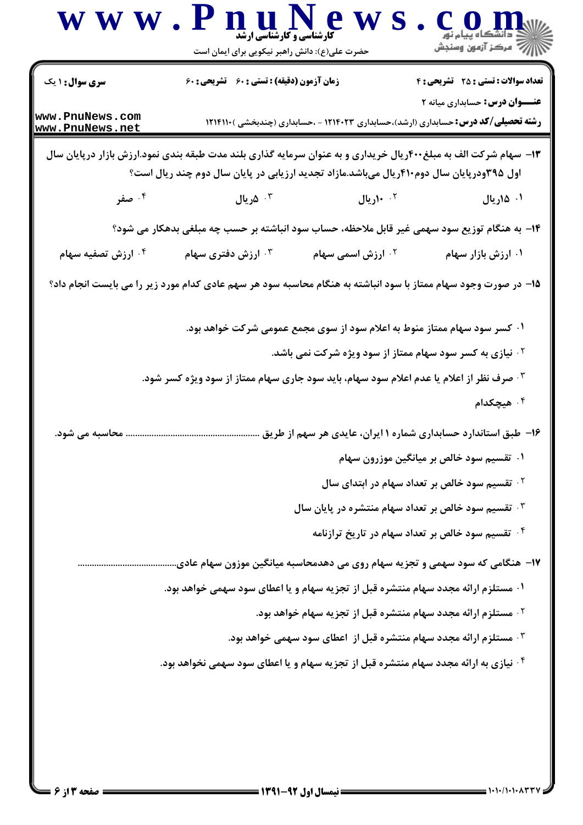| سری سوال: ۱ یک                     | زمان آزمون (دقیقه) : تستی : 60 ٪ تشریحی : 60                                             |                                                                                                  | <b>تعداد سوالات : تستی : 25 - تشریحی : 4</b><br><b>عنـــوان درس:</b> حسابداری میانه ۲                           |
|------------------------------------|------------------------------------------------------------------------------------------|--------------------------------------------------------------------------------------------------|-----------------------------------------------------------------------------------------------------------------|
| www.PnuNews.com<br>www.PnuNews.net |                                                                                          |                                                                                                  | <b>رشته تحصیلی/کد درس:</b> حسابداری (ارشد)،حسابداری ۱۲۱۴۰۲۳ - ،حسابداری (چندبخشی )۱۲۱۴۱۱۰                       |
|                                    | اول ۳۹۵ودرپایان سال دوم۴۱۰ریال میباشد.مازاد تجدید ارزیابی در پایان سال دوم چند ریال است؟ |                                                                                                  | ۱۳- سهام شرکت الف به مبلغ۴۰۰ریال خریداری و به عنوان سرمایه گذاری بلند مدت طبقه بندی نمود.ارزش بازار درپایان سال |
| ۰۴ صفر                             | ۰ <sup>۳</sup> ۵ریال                                                                     | ۰ <sup>۲</sup> ۱۰ ریال                                                                           | ۰۱ ۱۵ریال                                                                                                       |
|                                    |                                                                                          |                                                                                                  | ۱۴- به هنگام توزیع سود سهمی غیر قابل ملاحظه، حساب سود انباشته بر حسب چه مبلغی بدهکار می شود؟                    |
| ۰ <sup>۴ ا</sup> رزش تصفیه سهام    | ارزش دفتری سهام $\cdot^{\mathsf{\texttt{w}}}$                                            | ۰ <sup>۲ .</sup> ارزش اسمی سهام                                                                  | ۰۱ ارزش بازار سهام                                                                                              |
|                                    |                                                                                          |                                                                                                  | 1۵– در صورت وجود سهام ممتاز با سود انباشته به هنگام محاسبه سود هر سهم عادی کدام مورد زیر را می بایست انجام داد؟ |
|                                    |                                                                                          |                                                                                                  | ۰۱ کسر سود سهام ممتاز منوط به اعلام سود از سوی مجمع عمومی شرکت خواهد بود.                                       |
|                                    |                                                                                          |                                                                                                  | <sup>۲</sup> ۰ نیازی به کسر سود سهام ممتاز از سود ویژه شرکت نمی باشد.                                           |
|                                    | ۰۳ صرف نظر از اعلام یا عدم اعلام سود سهام، باید سود جاری سهام ممتاز از سود ویژه کسر شود. |                                                                                                  |                                                                                                                 |
|                                    |                                                                                          |                                                                                                  | ۰ <sup>۴</sup> هیچکدام                                                                                          |
| محاسبه می شود.                     |                                                                                          |                                                                                                  | ۱۶– طبق استاندارد حسابداری شماره ۱ ایران، عایدی هر سهم از طریق                                                  |
|                                    |                                                                                          |                                                                                                  | ۰۱ تقسیم سود خالص بر میانگین موزرون سهام                                                                        |
|                                    |                                                                                          |                                                                                                  | <sup>۲</sup> ۰ تقسیم سود خالص بر تعداد سهام در ابتدای سال                                                       |
|                                    |                                                                                          |                                                                                                  | $^\circ$ ۳۰ تقسیم سود خالص بر تعداد سهام منتشره در پایان سال $^\circ$                                           |
|                                    |                                                                                          |                                                                                                  | <sup>۴.</sup> تقسیم سود خالص بر تعداد سهام در تاریخ ترازنامه                                                    |
|                                    |                                                                                          |                                                                                                  | ۱۷- هنگامی که سود سهمی و تجزیه سهام روی می دهدمحاسبه میانگین موزون سهام عادی.                                   |
|                                    | ۰۱ مستلزم ارائه مجدد سهام منتشره قبل از تجزیه سهام و یا اعطای سود سهمی خواهد بود.        |                                                                                                  |                                                                                                                 |
|                                    |                                                                                          |                                                                                                  | <sup>۲</sup> ۰ مستلزم ارائه مجدد سهام منتشره قبل از تجزیه سهام خواهد بود.                                       |
|                                    |                                                                                          |                                                                                                  | ۰ <sup>۳</sup> مستلزم ارائه مجدد سهام منتشره قبل از  اعطای سود سهمی خواهد بود.                                  |
|                                    |                                                                                          | <sup>۴</sup> · نیازی به ارائه مجدد سهام منتشره قبل از تجزیه سهام و یا اعطای سود سهمی نخواهد بود. |                                                                                                                 |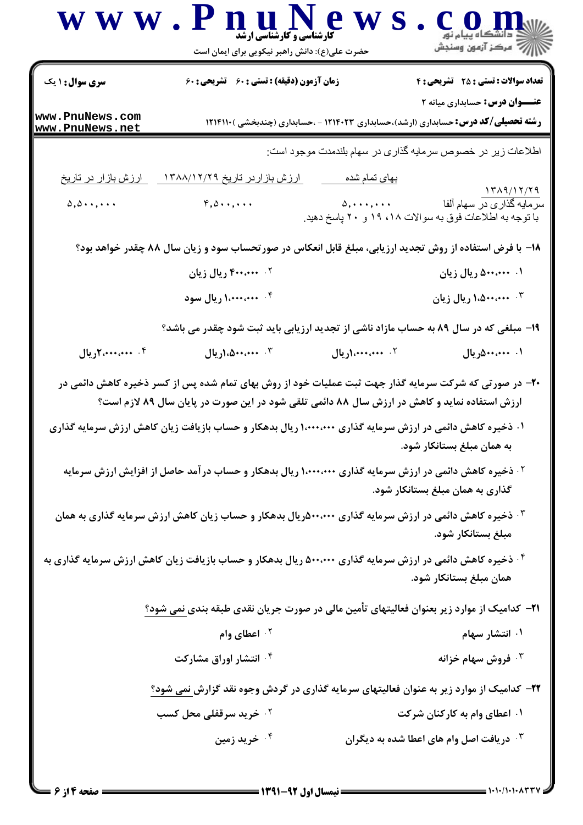|                                    | www.PnuNews<br><b>کارشناسی و کارشناسی ارشد</b><br>حضرت علی(ع): دانش راهبر نیکویی برای ایمان است                                                                                                                                                                                                                                                                |                          | e o n                                                                                                                              |
|------------------------------------|----------------------------------------------------------------------------------------------------------------------------------------------------------------------------------------------------------------------------------------------------------------------------------------------------------------------------------------------------------------|--------------------------|------------------------------------------------------------------------------------------------------------------------------------|
| <b>سری سوال : ۱ یک</b>             | <b>زمان آزمون (دقیقه) : تستی : 60 ٪ تشریحی : 60</b>                                                                                                                                                                                                                                                                                                            |                          | <b>تعداد سوالات : تستی : 25 - تشریحی : 4</b>                                                                                       |
| www.PnuNews.com<br>www.PnuNews.net |                                                                                                                                                                                                                                                                                                                                                                |                          | <b>عنـــوان درس:</b> حسابداری میانه ۲<br><b>رشته تحصیلی/کد درس:</b> حسابداری (ارشد)،حسابداری ۱۲۱۴۰۲۳ - ،حسابداری (چندبخشی )۱۲۱۴۱۱۰ |
|                                    |                                                                                                                                                                                                                                                                                                                                                                |                          | اطلاعات زیر در خصوص سرمایه گذاری در سهام بلندمدت موجود است:                                                                        |
| <u>ارزش بازار در تاریخ</u>         | <u>ارزش بازاردر تاریخ ۱۳۸۸/۱۲/۲۹</u>                                                                                                                                                                                                                                                                                                                           | <u>بهای تمام شده</u>     | 1719/17/79                                                                                                                         |
|                                    | $\Delta, \Delta \cdot \cdot, \cdot \cdot$ $\qquad \qquad$ $\qquad$ $\qquad$ $\qquad$ $\qquad$ $\qquad$ $\qquad$ $\qquad$ $\qquad$ $\qquad$ $\qquad$ $\qquad$ $\qquad$ $\qquad$ $\qquad$ $\qquad$ $\qquad$ $\qquad$ $\qquad$ $\qquad$ $\qquad$ $\qquad$ $\qquad$ $\qquad$ $\qquad$ $\qquad$ $\qquad$ $\qquad$ $\qquad$ $\qquad$ $\qquad$ $\qquad$ $\qquad$ $\q$ |                          | با توجه به اطلاعات فوق به سوالات ۱۸، ۱۹ و ۲۰ پاسخ دهید.                                                                            |
|                                    | ۱۸- با فرض استفاده از روش تجدید ارزیابی، مبلغ قابل انعکاس در صورتحساب سود و زیان سال ۸۸ چقدر خواهد بود؟                                                                                                                                                                                                                                                        |                          |                                                                                                                                    |
|                                    | ۰۲ ۴۰۰،۰۰۰ ریال زیان                                                                                                                                                                                                                                                                                                                                           |                          | ۰۱. ۵۰۰،۰۰۰ ریال زیان                                                                                                              |
|                                    | ۰۴ منه ۱،۰۰۰،۰۰۰ ریال سود                                                                                                                                                                                                                                                                                                                                      |                          | ۰۳ محمد ۱،۵۰۰،۰۰۰ ریال زیان                                                                                                        |
|                                    | ۱۹- مبلغی که در سال ۸۹ به حساب مازاد ناشی از تجدید ارزیابی باید ثبت شود چقدر می باشد؟                                                                                                                                                                                                                                                                          |                          |                                                                                                                                    |
| ۰۴ میل ۲،۰۰۰،۰۰۰ ریال              | ۰۳ میله ۱،۵۰۰٬۰۰۰                                                                                                                                                                                                                                                                                                                                              | ۲. <b>۴۰۰،۰۰۰، اریال</b> | ۰۱ . ۵۰۰٬۰۰۰ ریال                                                                                                                  |
|                                    | +۲- در صورتی که شرکت سرمایه گذار جهت ثبت عملیات خود از روش بهای تمام شده پس از کسر ذخیره کاهش دائمی در<br>ارزش استفاده نماید و کاهش در ارزش سال ۸۸ دائمی تلقی شود در این صورت در پایان سال ۸۹ لازم است؟                                                                                                                                                        |                          |                                                                                                                                    |
|                                    | ۰۱ ذخیره کاهش دائمی در ارزش سرمایه گذاری ۱٬۰۰۰٬۰۰۰ ریال بدهکار و حساب بازیافت زیان کاهش ارزش سرمایه گذاری                                                                                                                                                                                                                                                      |                          | به همان مبلغ بستانکار شود.                                                                                                         |
|                                    | <sup>۲ .</sup> ذخیره کاهش دائمی در ارزش سرمایه گذاری ۱،۰۰۰،۰۰۰ ریال بدهکار و حساب درآمد حاصل از افزایش ارزش سرمایه                                                                                                                                                                                                                                             |                          | گذاری به همان مبلغ بستانکار شود.                                                                                                   |
|                                    | ۰ <sup>۳ .</sup> ذخیره کاهش دائمی در ارزش سرمایه گذاری ۵۰۰،۰۰۰ ریال بدهکار و حساب زیان کاهش ارزش سرمایه گذاری به همان                                                                                                                                                                                                                                          |                          | مبلغ بستانكار شود.                                                                                                                 |
|                                    | ۰۴ ذخیره کاهش دائمی در ارزش سرمایه گذاری ۵۰۰،۰۰۰ ریال بدهکار و حساب بازیافت زیان کاهش ارزش سرمایه گذاری به                                                                                                                                                                                                                                                     |                          | همان مبلغ بستانکار شود.                                                                                                            |
|                                    | <b>۲۱</b> – کدامیک از موارد زیر بعنوان فعالیتهای تأمین مالی در صورت جریان نقدی طبقه بندی نمی شود؟                                                                                                                                                                                                                                                              |                          |                                                                                                                                    |
|                                    | اعطای وام $\cdot$ ۲                                                                                                                                                                                                                                                                                                                                            |                          | ۰۱ انتشار سهام                                                                                                                     |
|                                    | ۰ <sup>۴</sup> انتشار اوراق مشارکت                                                                                                                                                                                                                                                                                                                             |                          | ۰ <sup>۳ فر</sup> وش سهام خزانه                                                                                                    |
|                                    | ۲۲- کدامیک از موارد زیر به عنوان فعالیتهای سرمایه گذاری در گردش وجوه نقد گزارش نمی شود؟                                                                                                                                                                                                                                                                        |                          |                                                                                                                                    |
|                                    | <b>10 خرید سرقفلی محل کسب</b>                                                                                                                                                                                                                                                                                                                                  |                          | ۰۱ اعطای وام به کارکنان شرکت                                                                                                       |
|                                    | ۰۴ خرید زمین                                                                                                                                                                                                                                                                                                                                                   |                          | ۰ <sup>۳</sup> دریافت اصل وام های اعطا شده به دیگران                                                                               |
|                                    |                                                                                                                                                                                                                                                                                                                                                                |                          |                                                                                                                                    |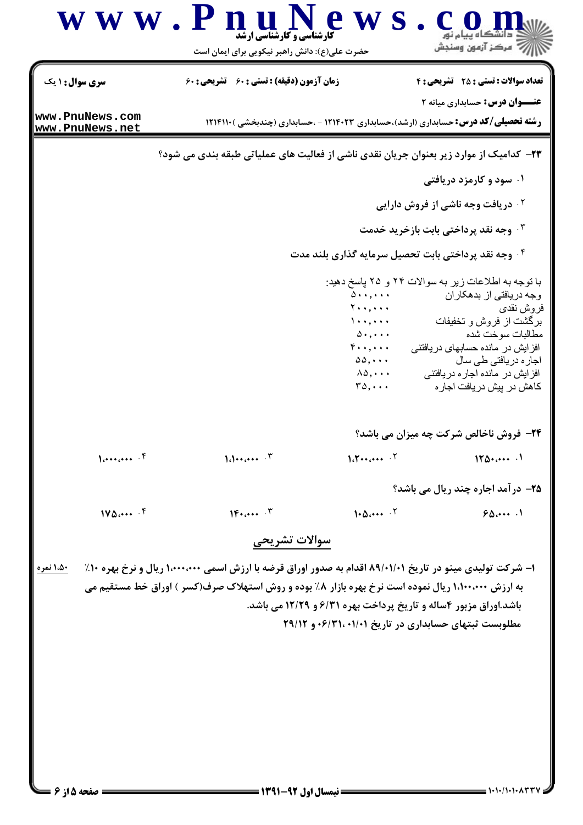| سری سوال: ۱ یک  |                                                                                        | حضرت علی(ع): دانش راهبر نیکویی برای ایمان است                                                                                                                                 |                                                                                                                                                                                                                                                                                   |
|-----------------|----------------------------------------------------------------------------------------|-------------------------------------------------------------------------------------------------------------------------------------------------------------------------------|-----------------------------------------------------------------------------------------------------------------------------------------------------------------------------------------------------------------------------------------------------------------------------------|
|                 | <b>زمان آزمون (دقیقه) : تستی : 60 تشریحی : 60</b>                                      |                                                                                                                                                                               | <b>تعداد سوالات : تستی : 25 تشریحی : 4</b>                                                                                                                                                                                                                                        |
| www.PnuNews.com |                                                                                        |                                                                                                                                                                               | <b>عنـــوان درس:</b> حسابداری میانه ۲                                                                                                                                                                                                                                             |
| www.PnuNews.net |                                                                                        |                                                                                                                                                                               | <b>رشته تحصیلی/کد درس:</b> حسابداری (ارشد)،حسابداری ۱۲۱۴۰۲۳ - ،حسابداری (چندبخشی )۱۲۱۴۱۱۰                                                                                                                                                                                         |
|                 | ۲۳– کدامیک از موارد زیر بعنوان جریان نقدی ناشی از فعالیت های عملیاتی طبقه بندی می شود؟ |                                                                                                                                                                               |                                                                                                                                                                                                                                                                                   |
|                 |                                                                                        |                                                                                                                                                                               | ۰۱ سود و کارمزد دریافتی                                                                                                                                                                                                                                                           |
|                 |                                                                                        |                                                                                                                                                                               | <b>گ دریافت وجه ناشی از فروش دارایی</b>                                                                                                                                                                                                                                           |
|                 |                                                                                        |                                                                                                                                                                               | ۰۳ وجه نقد پرداختی بابت بازخرید خدمت                                                                                                                                                                                                                                              |
|                 |                                                                                        |                                                                                                                                                                               | ۰۴ وجه نقد پرداختی بابت تحصیل سرمایه گذاری بلند مدت                                                                                                                                                                                                                               |
|                 |                                                                                        | $\Delta$ ,<br>$Y \cdot \cdot, \cdot \cdot$<br>$\lambda$<br>$\Delta$ . ,<br>$\mathfrak{r}\cdots$<br>$\Delta\Delta, \cdots$<br>$\lambda \Delta, \cdots$<br>$r_{\Delta}, \ldots$ | با توجه به اطلاعات زیر به سوالات ۲۴ و ۲۵ پاسخ دهید:<br>وجه دریافتی از بدهکاران<br>فروش نقدي<br>برگشت از فروش و تخفیفات<br>مطالبات سوخت شده<br>افز ایش در مانده حسابهای دریافتنی<br>اجار ہ دریافت <i>ی</i> طی سال<br>افزایش در مانده اجار ه در یافتنی<br>كاهش در پيش دريافت اجار ه |
| $\{,\}$         | $1.1 \cdot \cdot \cdot \cdot$ $\cdot \cdot \cdot$                                      | $1.7 \cdots \cdots$ . $7$                                                                                                                                                     | 24- فروش ناخالص شرکت چه میزان می باشد؟<br>110                                                                                                                                                                                                                                     |
|                 |                                                                                        |                                                                                                                                                                               |                                                                                                                                                                                                                                                                                   |
|                 |                                                                                        |                                                                                                                                                                               | ۲۵- در آمد اجاره چند ریال می باشد؟                                                                                                                                                                                                                                                |
| 140             | $1F_{\text{tot}} \rightarrow \mathcal{F}$                                              | 1.0                                                                                                                                                                           | 90                                                                                                                                                                                                                                                                                |

 $1.1.11.1.1$